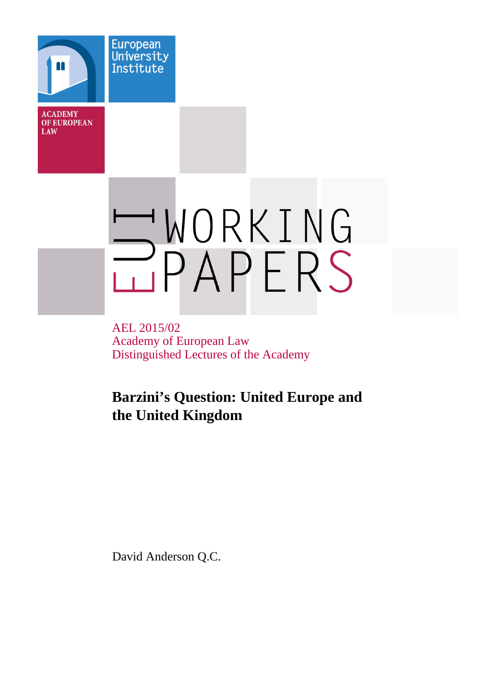**ACADEMY OF EUROPEAN** LAW

European University Institute

# WORKING

AEL 2015/02 Academy of European Law Distinguished Lectures of the Academy

# **Barzini's Question: United Europe and the United Kingdom**

David Anderson Q.C.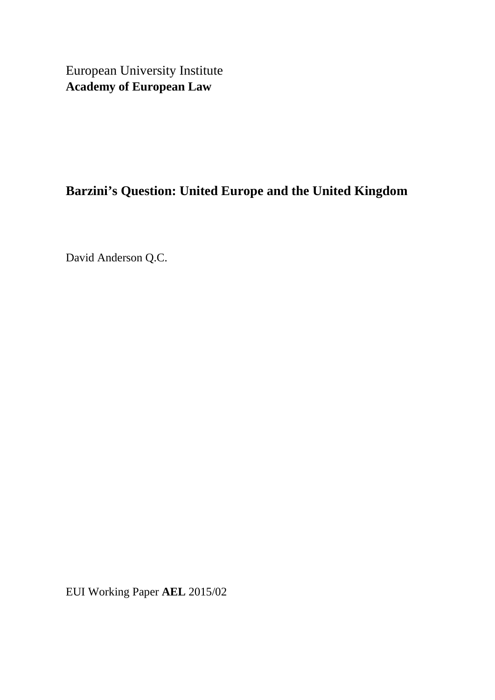European University Institute **Academy of European Law**

# **Barzini's Question: United Europe and the United Kingdom**

David Anderson Q.C.

EUI Working Paper **AEL** 2015/02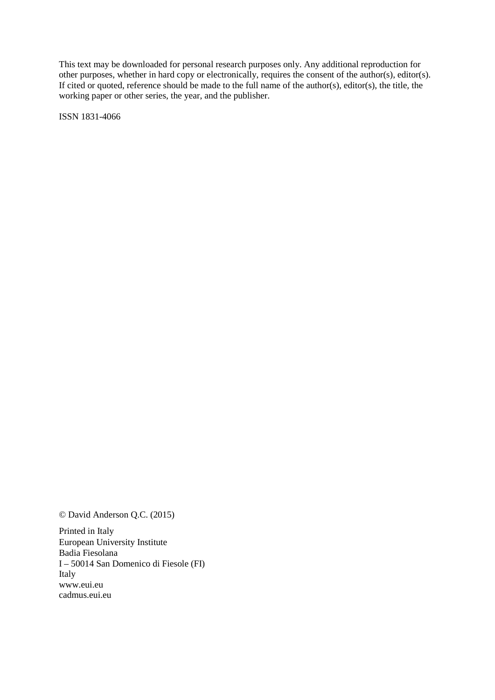This text may be downloaded for personal research purposes only. Any additional reproduction for other purposes, whether in hard copy or electronically, requires the consent of the author(s), editor(s). If cited or quoted, reference should be made to the full name of the author(s), editor(s), the title, the working paper or other series, the year, and the publisher.

ISSN 1831-4066

© David Anderson Q.C. (2015)

Printed in Italy European University Institute Badia Fiesolana I – 50014 San Domenico di Fiesole (FI) Italy [www.eui.eu](http://www.eui.eu/) [cadmus.eui.eu](http://cadmus.eui.eu/dspace/index.jsp)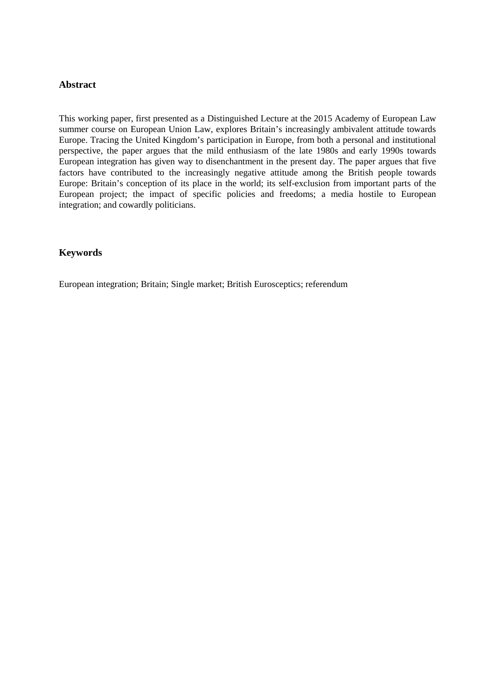# **Abstract**

This working paper, first presented as a Distinguished Lecture at the 2015 Academy of European Law summer course on European Union Law, explores Britain's increasingly ambivalent attitude towards Europe. Tracing the United Kingdom's participation in Europe, from both a personal and institutional perspective, the paper argues that the mild enthusiasm of the late 1980s and early 1990s towards European integration has given way to disenchantment in the present day. The paper argues that five factors have contributed to the increasingly negative attitude among the British people towards Europe: Britain's conception of its place in the world; its self-exclusion from important parts of the European project; the impact of specific policies and freedoms; a media hostile to European integration; and cowardly politicians.

# **Keywords**

European integration; Britain; Single market; British Eurosceptics; referendum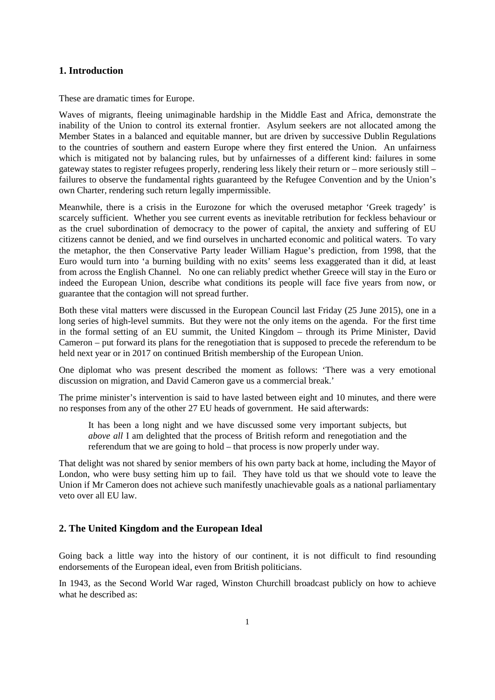# **1. Introduction**

These are dramatic times for Europe.

Waves of migrants, fleeing unimaginable hardship in the Middle East and Africa, demonstrate the inability of the Union to control its external frontier. Asylum seekers are not allocated among the Member States in a balanced and equitable manner, but are driven by successive Dublin Regulations to the countries of southern and eastern Europe where they first entered the Union. An unfairness which is mitigated not by balancing rules, but by unfairnesses of a different kind: failures in some gateway states to register refugees properly, rendering less likely their return or – more seriously still – failures to observe the fundamental rights guaranteed by the Refugee Convention and by the Union's own Charter, rendering such return legally impermissible.

Meanwhile, there is a crisis in the Eurozone for which the overused metaphor 'Greek tragedy' is scarcely sufficient. Whether you see current events as inevitable retribution for feckless behaviour or as the cruel subordination of democracy to the power of capital, the anxiety and suffering of EU citizens cannot be denied, and we find ourselves in uncharted economic and political waters. To vary the metaphor, the then Conservative Party leader William Hague's prediction, from 1998, that the Euro would turn into 'a burning building with no exits' seems less exaggerated than it did, at least from across the English Channel. No one can reliably predict whether Greece will stay in the Euro or indeed the European Union, describe what conditions its people will face five years from now, or guarantee that the contagion will not spread further.

Both these vital matters were discussed in the European Council last Friday (25 June 2015), one in a long series of high-level summits. But they were not the only items on the agenda. For the first time in the formal setting of an EU summit, the United Kingdom – through its Prime Minister, David Cameron – put forward its plans for the renegotiation that is supposed to precede the referendum to be held next year or in 2017 on continued British membership of the European Union.

One diplomat who was present described the moment as follows: 'There was a very emotional discussion on migration, and David Cameron gave us a commercial break.'

The prime minister's intervention is said to have lasted between eight and 10 minutes, and there were no responses from any of the other 27 EU heads of government. He said afterwards:

It has been a long night and we have discussed some very important subjects, but *above all* I am delighted that the process of British reform and renegotiation and the referendum that we are going to hold – that process is now properly under way.

That delight was not shared by senior members of his own party back at home, including the Mayor of London, who were busy setting him up to fail. They have told us that we should vote to leave the Union if Mr Cameron does not achieve such manifestly unachievable goals as a national parliamentary veto over all EU law.

# **2. The United Kingdom and the European Ideal**

Going back a little way into the history of our continent, it is not difficult to find resounding endorsements of the European ideal, even from British politicians.

In 1943, as the Second World War raged, Winston Churchill broadcast publicly on how to achieve what he described as: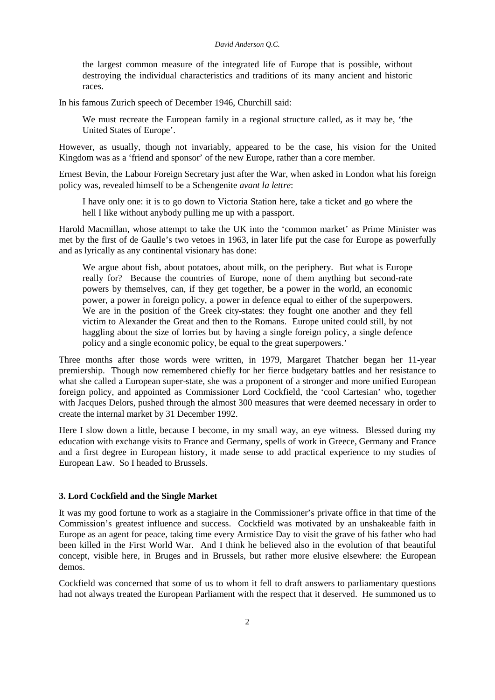the largest common measure of the integrated life of Europe that is possible, without destroying the individual characteristics and traditions of its many ancient and historic races.

In his famous Zurich speech of December 1946, Churchill said:

We must recreate the European family in a regional structure called, as it may be, 'the United States of Europe'.

However, as usually, though not invariably, appeared to be the case, his vision for the United Kingdom was as a 'friend and sponsor' of the new Europe, rather than a core member.

Ernest Bevin, the Labour Foreign Secretary just after the War, when asked in London what his foreign policy was, revealed himself to be a Schengenite *avant la lettre*:

I have only one: it is to go down to Victoria Station here, take a ticket and go where the hell I like without anybody pulling me up with a passport.

Harold Macmillan, whose attempt to take the UK into the 'common market' as Prime Minister was met by the first of de Gaulle's two vetoes in 1963, in later life put the case for Europe as powerfully and as lyrically as any continental visionary has done:

We argue about fish, about potatoes, about milk, on the periphery. But what is Europe really for? Because the countries of Europe, none of them anything but second-rate powers by themselves, can, if they get together, be a power in the world, an economic power, a power in foreign policy, a power in defence equal to either of the superpowers. We are in the position of the Greek city-states: they fought one another and they fell victim to Alexander the Great and then to the Romans. Europe united could still, by not haggling about the size of lorries but by having a single foreign policy, a single defence policy and a single economic policy, be equal to the great superpowers.'

Three months after those words were written, in 1979, Margaret Thatcher began her 11-year premiership. Though now remembered chiefly for her fierce budgetary battles and her resistance to what she called a European super-state, she was a proponent of a stronger and more unified European foreign policy, and appointed as Commissioner Lord Cockfield, the 'cool Cartesian' who, together with Jacques Delors, pushed through the almost 300 measures that were deemed necessary in order to create the internal market by 31 December 1992.

Here I slow down a little, because I become, in my small way, an eye witness. Blessed during my education with exchange visits to France and Germany, spells of work in Greece, Germany and France and a first degree in European history, it made sense to add practical experience to my studies of European Law. So I headed to Brussels.

## **3. Lord Cockfield and the Single Market**

It was my good fortune to work as a stagiaire in the Commissioner's private office in that time of the Commission's greatest influence and success. Cockfield was motivated by an unshakeable faith in Europe as an agent for peace, taking time every Armistice Day to visit the grave of his father who had been killed in the First World War. And I think he believed also in the evolution of that beautiful concept, visible here, in Bruges and in Brussels, but rather more elusive elsewhere: the European demos.

Cockfield was concerned that some of us to whom it fell to draft answers to parliamentary questions had not always treated the European Parliament with the respect that it deserved. He summoned us to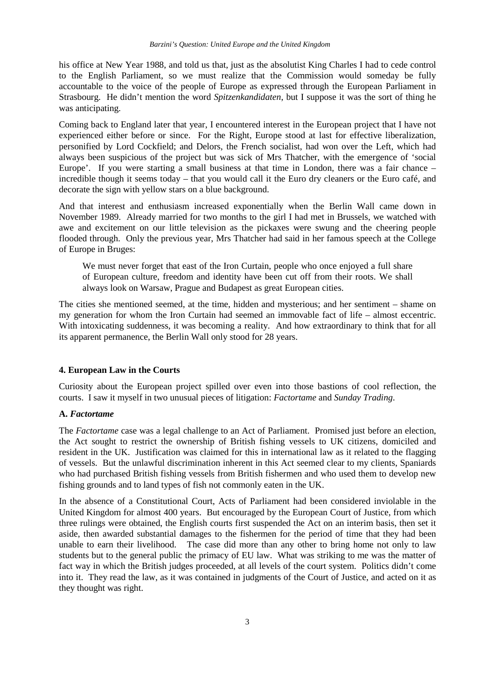his office at New Year 1988, and told us that, just as the absolutist King Charles I had to cede control to the English Parliament, so we must realize that the Commission would someday be fully accountable to the voice of the people of Europe as expressed through the European Parliament in Strasbourg. He didn't mention the word *Spitzenkandidaten*, but I suppose it was the sort of thing he was anticipating.

Coming back to England later that year, I encountered interest in the European project that I have not experienced either before or since. For the Right, Europe stood at last for effective liberalization, personified by Lord Cockfield; and Delors, the French socialist, had won over the Left, which had always been suspicious of the project but was sick of Mrs Thatcher, with the emergence of 'social Europe'. If you were starting a small business at that time in London, there was a fair chance – incredible though it seems today – that you would call it the Euro dry cleaners or the Euro café, and decorate the sign with yellow stars on a blue background.

And that interest and enthusiasm increased exponentially when the Berlin Wall came down in November 1989. Already married for two months to the girl I had met in Brussels, we watched with awe and excitement on our little television as the pickaxes were swung and the cheering people flooded through. Only the previous year, Mrs Thatcher had said in her famous speech at the College of Europe in Bruges:

We must never forget that east of the Iron Curtain, people who once enjoyed a full share of European culture, freedom and identity have been cut off from their roots. We shall always look on Warsaw, Prague and Budapest as great European cities.

The cities she mentioned seemed, at the time, hidden and mysterious; and her sentiment – shame on my generation for whom the Iron Curtain had seemed an immovable fact of life – almost eccentric. With intoxicating suddenness, it was becoming a reality. And how extraordinary to think that for all its apparent permanence, the Berlin Wall only stood for 28 years.

#### **4. European Law in the Courts**

Curiosity about the European project spilled over even into those bastions of cool reflection, the courts. I saw it myself in two unusual pieces of litigation: *Factortame* and *Sunday Trading*.

## **A.** *Factortame*

The *Factortame* case was a legal challenge to an Act of Parliament. Promised just before an election, the Act sought to restrict the ownership of British fishing vessels to UK citizens, domiciled and resident in the UK. Justification was claimed for this in international law as it related to the flagging of vessels. But the unlawful discrimination inherent in this Act seemed clear to my clients, Spaniards who had purchased British fishing vessels from British fishermen and who used them to develop new fishing grounds and to land types of fish not commonly eaten in the UK.

In the absence of a Constitutional Court, Acts of Parliament had been considered inviolable in the United Kingdom for almost 400 years. But encouraged by the European Court of Justice, from which three rulings were obtained, the English courts first suspended the Act on an interim basis, then set it aside, then awarded substantial damages to the fishermen for the period of time that they had been unable to earn their livelihood. The case did more than any other to bring home not only to law students but to the general public the primacy of EU law. What was striking to me was the matter of fact way in which the British judges proceeded, at all levels of the court system. Politics didn't come into it. They read the law, as it was contained in judgments of the Court of Justice, and acted on it as they thought was right.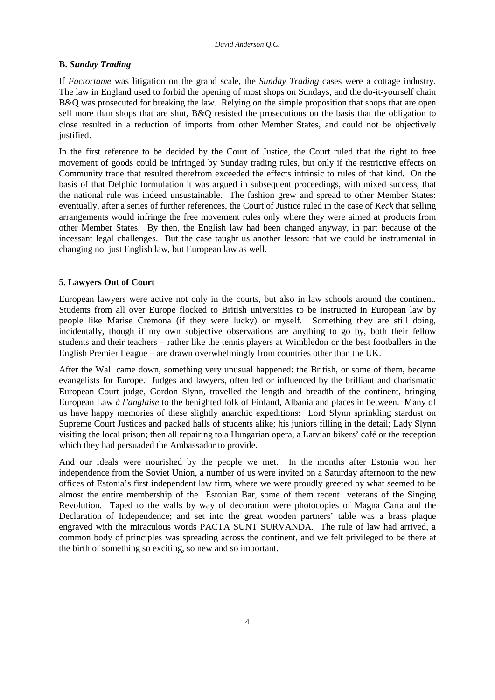### **B.** *Sunday Trading*

If *Factortame* was litigation on the grand scale, the *Sunday Trading* cases were a cottage industry. The law in England used to forbid the opening of most shops on Sundays, and the do-it-yourself chain B&Q was prosecuted for breaking the law. Relying on the simple proposition that shops that are open sell more than shops that are shut, B&Q resisted the prosecutions on the basis that the obligation to close resulted in a reduction of imports from other Member States, and could not be objectively justified.

In the first reference to be decided by the Court of Justice, the Court ruled that the right to free movement of goods could be infringed by Sunday trading rules, but only if the restrictive effects on Community trade that resulted therefrom exceeded the effects intrinsic to rules of that kind. On the basis of that Delphic formulation it was argued in subsequent proceedings, with mixed success, that the national rule was indeed unsustainable. The fashion grew and spread to other Member States: eventually, after a series of further references, the Court of Justice ruled in the case of *Keck* that selling arrangements would infringe the free movement rules only where they were aimed at products from other Member States. By then, the English law had been changed anyway, in part because of the incessant legal challenges. But the case taught us another lesson: that we could be instrumental in changing not just English law, but European law as well.

# **5. Lawyers Out of Court**

European lawyers were active not only in the courts, but also in law schools around the continent. Students from all over Europe flocked to British universities to be instructed in European law by people like Marise Cremona (if they were lucky) or myself. Something they are still doing, incidentally, though if my own subjective observations are anything to go by, both their fellow students and their teachers – rather like the tennis players at Wimbledon or the best footballers in the English Premier League – are drawn overwhelmingly from countries other than the UK.

After the Wall came down, something very unusual happened: the British, or some of them, became evangelists for Europe. Judges and lawyers, often led or influenced by the brilliant and charismatic European Court judge, Gordon Slynn, travelled the length and breadth of the continent, bringing European Law *à l'anglaise* to the benighted folk of Finland, Albania and places in between. Many of us have happy memories of these slightly anarchic expeditions: Lord Slynn sprinkling stardust on Supreme Court Justices and packed halls of students alike; his juniors filling in the detail; Lady Slynn visiting the local prison; then all repairing to a Hungarian opera, a Latvian bikers' café or the reception which they had persuaded the Ambassador to provide.

And our ideals were nourished by the people we met. In the months after Estonia won her independence from the Soviet Union, a number of us were invited on a Saturday afternoon to the new offices of Estonia's first independent law firm, where we were proudly greeted by what seemed to be almost the entire membership of the Estonian Bar, some of them recent veterans of the Singing Revolution. Taped to the walls by way of decoration were photocopies of Magna Carta and the Declaration of Independence; and set into the great wooden partners' table was a brass plaque engraved with the miraculous words PACTA SUNT SURVANDA. The rule of law had arrived, a common body of principles was spreading across the continent, and we felt privileged to be there at the birth of something so exciting, so new and so important.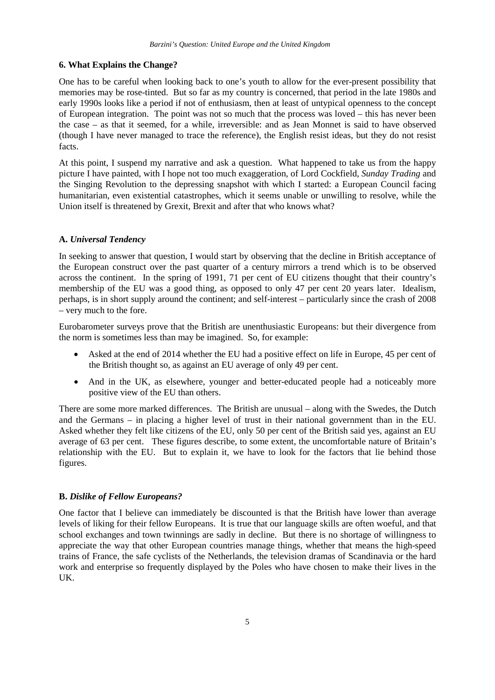#### **6. What Explains the Change?**

One has to be careful when looking back to one's youth to allow for the ever-present possibility that memories may be rose-tinted. But so far as my country is concerned, that period in the late 1980s and early 1990s looks like a period if not of enthusiasm, then at least of untypical openness to the concept of European integration. The point was not so much that the process was loved – this has never been the case – as that it seemed, for a while, irreversible: and as Jean Monnet is said to have observed (though I have never managed to trace the reference), the English resist ideas, but they do not resist facts.

At this point, I suspend my narrative and ask a question. What happened to take us from the happy picture I have painted, with I hope not too much exaggeration, of Lord Cockfield, *Sunday Trading* and the Singing Revolution to the depressing snapshot with which I started: a European Council facing humanitarian, even existential catastrophes, which it seems unable or unwilling to resolve, while the Union itself is threatened by Grexit, Brexit and after that who knows what?

#### **A.** *Universal Tendency*

In seeking to answer that question, I would start by observing that the decline in British acceptance of the European construct over the past quarter of a century mirrors a trend which is to be observed across the continent. In the spring of 1991, 71 per cent of EU citizens thought that their country's membership of the EU was a good thing, as opposed to only 47 per cent 20 years later. Idealism, perhaps, is in short supply around the continent; and self-interest – particularly since the crash of 2008 – very much to the fore.

Eurobarometer surveys prove that the British are unenthusiastic Europeans: but their divergence from the norm is sometimes less than may be imagined. So, for example:

- Asked at the end of 2014 whether the EU had a positive effect on life in Europe, 45 per cent of the British thought so, as against an EU average of only 49 per cent.
- And in the UK, as elsewhere, younger and better-educated people had a noticeably more positive view of the EU than others.

There are some more marked differences. The British are unusual – along with the Swedes, the Dutch and the Germans – in placing a higher level of trust in their national government than in the EU. Asked whether they felt like citizens of the EU, only 50 per cent of the British said yes, against an EU average of 63 per cent. These figures describe, to some extent, the uncomfortable nature of Britain's relationship with the EU. But to explain it, we have to look for the factors that lie behind those figures.

#### **B.** *Dislike of Fellow Europeans?*

One factor that I believe can immediately be discounted is that the British have lower than average levels of liking for their fellow Europeans. It is true that our language skills are often woeful, and that school exchanges and town twinnings are sadly in decline. But there is no shortage of willingness to appreciate the way that other European countries manage things, whether that means the high-speed trains of France, the safe cyclists of the Netherlands, the television dramas of Scandinavia or the hard work and enterprise so frequently displayed by the Poles who have chosen to make their lives in the UK.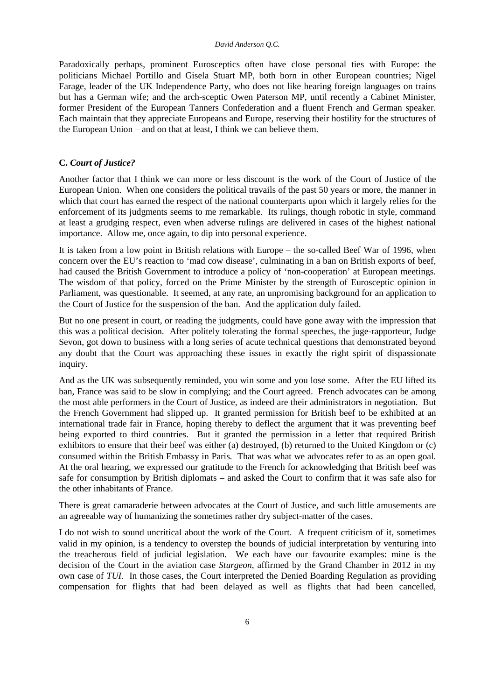Paradoxically perhaps, prominent Eurosceptics often have close personal ties with Europe: the politicians Michael Portillo and Gisela Stuart MP, both born in other European countries; Nigel Farage, leader of the UK Independence Party, who does not like hearing foreign languages on trains but has a German wife; and the arch-sceptic Owen Paterson MP, until recently a Cabinet Minister, former President of the European Tanners Confederation and a fluent French and German speaker. Each maintain that they appreciate Europeans and Europe, reserving their hostility for the structures of the European Union – and on that at least, I think we can believe them.

#### **C.** *Court of Justice?*

Another factor that I think we can more or less discount is the work of the Court of Justice of the European Union. When one considers the political travails of the past 50 years or more, the manner in which that court has earned the respect of the national counterparts upon which it largely relies for the enforcement of its judgments seems to me remarkable. Its rulings, though robotic in style, command at least a grudging respect, even when adverse rulings are delivered in cases of the highest national importance. Allow me, once again, to dip into personal experience.

It is taken from a low point in British relations with Europe – the so-called Beef War of 1996, when concern over the EU's reaction to 'mad cow disease', culminating in a ban on British exports of beef, had caused the British Government to introduce a policy of 'non-cooperation' at European meetings. The wisdom of that policy, forced on the Prime Minister by the strength of Eurosceptic opinion in Parliament, was questionable. It seemed, at any rate, an unpromising background for an application to the Court of Justice for the suspension of the ban. And the application duly failed.

But no one present in court, or reading the judgments, could have gone away with the impression that this was a political decision. After politely tolerating the formal speeches, the juge-rapporteur, Judge Sevon, got down to business with a long series of acute technical questions that demonstrated beyond any doubt that the Court was approaching these issues in exactly the right spirit of dispassionate inquiry.

And as the UK was subsequently reminded, you win some and you lose some. After the EU lifted its ban, France was said to be slow in complying; and the Court agreed. French advocates can be among the most able performers in the Court of Justice, as indeed are their administrators in negotiation. But the French Government had slipped up. It granted permission for British beef to be exhibited at an international trade fair in France, hoping thereby to deflect the argument that it was preventing beef being exported to third countries. But it granted the permission in a letter that required British exhibitors to ensure that their beef was either (a) destroyed, (b) returned to the United Kingdom or (c) consumed within the British Embassy in Paris. That was what we advocates refer to as an open goal. At the oral hearing, we expressed our gratitude to the French for acknowledging that British beef was safe for consumption by British diplomats – and asked the Court to confirm that it was safe also for the other inhabitants of France.

There is great camaraderie between advocates at the Court of Justice, and such little amusements are an agreeable way of humanizing the sometimes rather dry subject-matter of the cases.

I do not wish to sound uncritical about the work of the Court. A frequent criticism of it, sometimes valid in my opinion, is a tendency to overstep the bounds of judicial interpretation by venturing into the treacherous field of judicial legislation. We each have our favourite examples: mine is the decision of the Court in the aviation case *Sturgeon*, affirmed by the Grand Chamber in 2012 in my own case of *TUI*. In those cases, the Court interpreted the Denied Boarding Regulation as providing compensation for flights that had been delayed as well as flights that had been cancelled,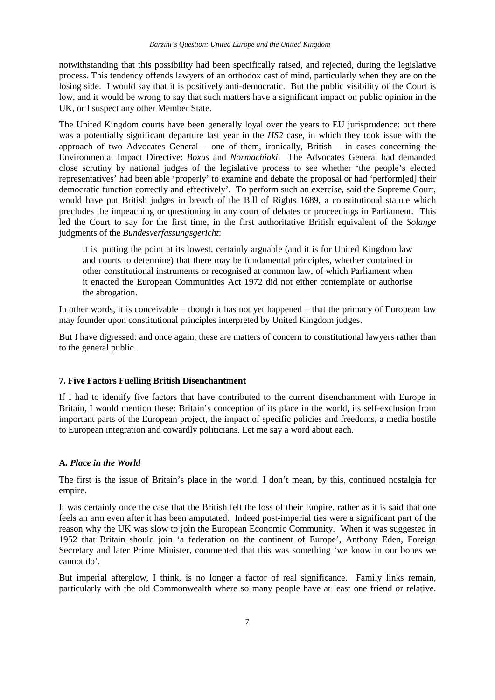notwithstanding that this possibility had been specifically raised, and rejected, during the legislative process. This tendency offends lawyers of an orthodox cast of mind, particularly when they are on the losing side. I would say that it is positively anti-democratic. But the public visibility of the Court is low, and it would be wrong to say that such matters have a significant impact on public opinion in the UK, or I suspect any other Member State.

The United Kingdom courts have been generally loyal over the years to EU jurisprudence: but there was a potentially significant departure last year in the *HS2* case, in which they took issue with the approach of two Advocates General – one of them, ironically, British – in cases concerning the Environmental Impact Directive: *Boxus* and *Normachiaki*. The Advocates General had demanded close scrutiny by national judges of the legislative process to see whether 'the people's elected representatives' had been able 'properly' to examine and debate the proposal or had 'perform[ed] their democratic function correctly and effectively'. To perform such an exercise, said the Supreme Court, would have put British judges in breach of the Bill of Rights 1689, a constitutional statute which precludes the impeaching or questioning in any court of debates or proceedings in Parliament. This led the Court to say for the first time, in the first authoritative British equivalent of the *Solange*  judgments of the *Bundesverfassungsgericht*:

It is, putting the point at its lowest, certainly arguable (and it is for United Kingdom law and courts to determine) that there may be fundamental principles, whether contained in other constitutional instruments or recognised at common law, of which Parliament when it enacted the European Communities Act 1972 did not either contemplate or authorise the abrogation.

In other words, it is conceivable – though it has not yet happened – that the primacy of European law may founder upon constitutional principles interpreted by United Kingdom judges.

But I have digressed: and once again, these are matters of concern to constitutional lawyers rather than to the general public.

# **7. Five Factors Fuelling British Disenchantment**

If I had to identify five factors that have contributed to the current disenchantment with Europe in Britain, I would mention these: Britain's conception of its place in the world, its self-exclusion from important parts of the European project, the impact of specific policies and freedoms, a media hostile to European integration and cowardly politicians. Let me say a word about each.

#### **A.** *Place in the World*

The first is the issue of Britain's place in the world. I don't mean, by this, continued nostalgia for empire.

It was certainly once the case that the British felt the loss of their Empire, rather as it is said that one feels an arm even after it has been amputated. Indeed post-imperial ties were a significant part of the reason why the UK was slow to join the European Economic Community. When it was suggested in 1952 that Britain should join 'a federation on the continent of Europe', Anthony Eden, Foreign Secretary and later Prime Minister, commented that this was something 'we know in our bones we cannot do'.

But imperial afterglow, I think, is no longer a factor of real significance. Family links remain, particularly with the old Commonwealth where so many people have at least one friend or relative.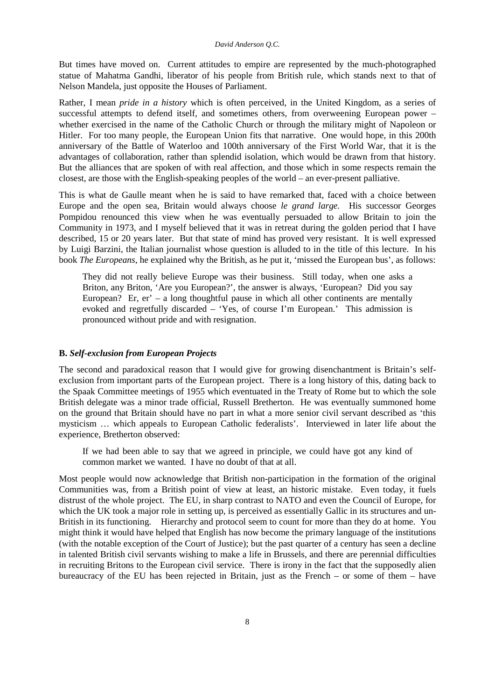But times have moved on. Current attitudes to empire are represented by the much-photographed statue of Mahatma Gandhi, liberator of his people from British rule, which stands next to that of Nelson Mandela, just opposite the Houses of Parliament.

Rather, I mean *pride in a history* which is often perceived, in the United Kingdom, as a series of successful attempts to defend itself, and sometimes others, from overweening European power – whether exercised in the name of the Catholic Church or through the military might of Napoleon or Hitler. For too many people, the European Union fits that narrative. One would hope, in this 200th anniversary of the Battle of Waterloo and 100th anniversary of the First World War, that it is the advantages of collaboration, rather than splendid isolation, which would be drawn from that history. But the alliances that are spoken of with real affection, and those which in some respects remain the closest, are those with the English-speaking peoples of the world – an ever-present palliative.

This is what de Gaulle meant when he is said to have remarked that, faced with a choice between Europe and the open sea, Britain would always choose *le grand large.* His successor Georges Pompidou renounced this view when he was eventually persuaded to allow Britain to join the Community in 1973, and I myself believed that it was in retreat during the golden period that I have described, 15 or 20 years later. But that state of mind has proved very resistant. It is well expressed by Luigi Barzini, the Italian journalist whose question is alluded to in the title of this lecture. In his book *The Europeans*, he explained why the British, as he put it, 'missed the European bus', as follows:

They did not really believe Europe was their business. Still today, when one asks a Briton, any Briton, 'Are you European?', the answer is always, 'European? Did you say European? Er, er' – a long thoughtful pause in which all other continents are mentally evoked and regretfully discarded – 'Yes, of course I'm European.' This admission is pronounced without pride and with resignation.

# **B.** *Self-exclusion from European Projects*

The second and paradoxical reason that I would give for growing disenchantment is Britain's selfexclusion from important parts of the European project. There is a long history of this, dating back to the Spaak Committee meetings of 1955 which eventuated in the Treaty of Rome but to which the sole British delegate was a minor trade official, Russell Bretherton. He was eventually summoned home on the ground that Britain should have no part in what a more senior civil servant described as 'this mysticism … which appeals to European Catholic federalists'. Interviewed in later life about the experience, Bretherton observed:

If we had been able to say that we agreed in principle, we could have got any kind of common market we wanted. I have no doubt of that at all.

Most people would now acknowledge that British non-participation in the formation of the original Communities was, from a British point of view at least, an historic mistake. Even today, it fuels distrust of the whole project. The EU, in sharp contrast to NATO and even the Council of Europe, for which the UK took a major role in setting up, is perceived as essentially Gallic in its structures and un-British in its functioning. Hierarchy and protocol seem to count for more than they do at home. You might think it would have helped that English has now become the primary language of the institutions (with the notable exception of the Court of Justice); but the past quarter of a century has seen a decline in talented British civil servants wishing to make a life in Brussels, and there are perennial difficulties in recruiting Britons to the European civil service. There is irony in the fact that the supposedly alien bureaucracy of the EU has been rejected in Britain, just as the French – or some of them – have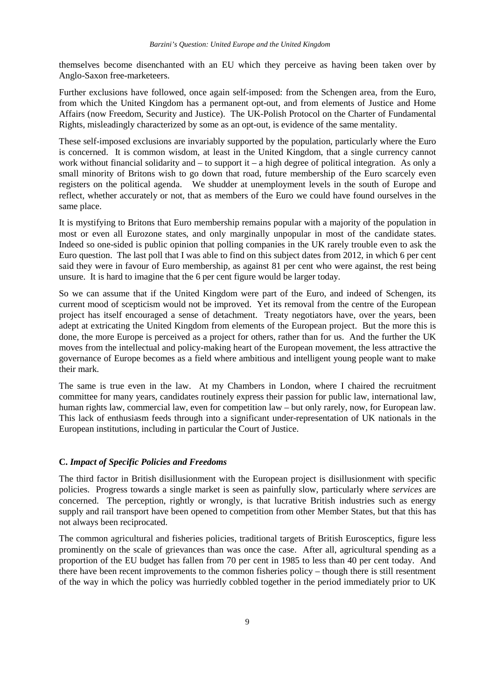themselves become disenchanted with an EU which they perceive as having been taken over by Anglo-Saxon free-marketeers.

Further exclusions have followed, once again self-imposed: from the Schengen area, from the Euro, from which the United Kingdom has a permanent opt-out, and from elements of Justice and Home Affairs (now Freedom, Security and Justice). The UK-Polish Protocol on the Charter of Fundamental Rights, misleadingly characterized by some as an opt-out, is evidence of the same mentality.

These self-imposed exclusions are invariably supported by the population, particularly where the Euro is concerned. It is common wisdom, at least in the United Kingdom, that a single currency cannot work without financial solidarity and – to support it – a high degree of political integration. As only a small minority of Britons wish to go down that road, future membership of the Euro scarcely even registers on the political agenda. We shudder at unemployment levels in the south of Europe and reflect, whether accurately or not, that as members of the Euro we could have found ourselves in the same place.

It is mystifying to Britons that Euro membership remains popular with a majority of the population in most or even all Eurozone states, and only marginally unpopular in most of the candidate states. Indeed so one-sided is public opinion that polling companies in the UK rarely trouble even to ask the Euro question. The last poll that I was able to find on this subject dates from 2012, in which 6 per cent said they were in favour of Euro membership, as against 81 per cent who were against, the rest being unsure. It is hard to imagine that the 6 per cent figure would be larger today.

So we can assume that if the United Kingdom were part of the Euro, and indeed of Schengen, its current mood of scepticism would not be improved. Yet its removal from the centre of the European project has itself encouraged a sense of detachment. Treaty negotiators have, over the years, been adept at extricating the United Kingdom from elements of the European project. But the more this is done, the more Europe is perceived as a project for others, rather than for us. And the further the UK moves from the intellectual and policy-making heart of the European movement, the less attractive the governance of Europe becomes as a field where ambitious and intelligent young people want to make their mark.

The same is true even in the law. At my Chambers in London, where I chaired the recruitment committee for many years, candidates routinely express their passion for public law, international law, human rights law, commercial law, even for competition law – but only rarely, now, for European law. This lack of enthusiasm feeds through into a significant under-representation of UK nationals in the European institutions, including in particular the Court of Justice.

#### **C.** *Impact of Specific Policies and Freedoms*

The third factor in British disillusionment with the European project is disillusionment with specific policies. Progress towards a single market is seen as painfully slow, particularly where *services* are concerned. The perception, rightly or wrongly, is that lucrative British industries such as energy supply and rail transport have been opened to competition from other Member States, but that this has not always been reciprocated.

The common agricultural and fisheries policies, traditional targets of British Eurosceptics, figure less prominently on the scale of grievances than was once the case. After all, agricultural spending as a proportion of the EU budget has fallen from 70 per cent in 1985 to less than 40 per cent today. And there have been recent improvements to the common fisheries policy – though there is still resentment of the way in which the policy was hurriedly cobbled together in the period immediately prior to UK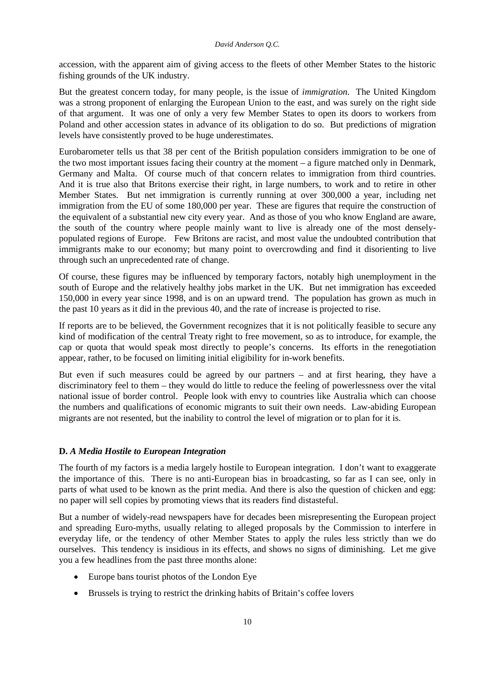accession, with the apparent aim of giving access to the fleets of other Member States to the historic fishing grounds of the UK industry.

But the greatest concern today, for many people, is the issue of *immigration*. The United Kingdom was a strong proponent of enlarging the European Union to the east, and was surely on the right side of that argument. It was one of only a very few Member States to open its doors to workers from Poland and other accession states in advance of its obligation to do so. But predictions of migration levels have consistently proved to be huge underestimates.

Eurobarometer tells us that 38 per cent of the British population considers immigration to be one of the two most important issues facing their country at the moment – a figure matched only in Denmark, Germany and Malta. Of course much of that concern relates to immigration from third countries. And it is true also that Britons exercise their right, in large numbers, to work and to retire in other Member States. But net immigration is currently running at over 300,000 a year, including net immigration from the EU of some 180,000 per year. These are figures that require the construction of the equivalent of a substantial new city every year. And as those of you who know England are aware, the south of the country where people mainly want to live is already one of the most denselypopulated regions of Europe. Few Britons are racist, and most value the undoubted contribution that immigrants make to our economy; but many point to overcrowding and find it disorienting to live through such an unprecedented rate of change.

Of course, these figures may be influenced by temporary factors, notably high unemployment in the south of Europe and the relatively healthy jobs market in the UK. But net immigration has exceeded 150,000 in every year since 1998, and is on an upward trend. The population has grown as much in the past 10 years as it did in the previous 40, and the rate of increase is projected to rise.

If reports are to be believed, the Government recognizes that it is not politically feasible to secure any kind of modification of the central Treaty right to free movement, so as to introduce, for example, the cap or quota that would speak most directly to people's concerns. Its efforts in the renegotiation appear, rather, to be focused on limiting initial eligibility for in-work benefits.

But even if such measures could be agreed by our partners – and at first hearing, they have a discriminatory feel to them – they would do little to reduce the feeling of powerlessness over the vital national issue of border control. People look with envy to countries like Australia which can choose the numbers and qualifications of economic migrants to suit their own needs. Law-abiding European migrants are not resented, but the inability to control the level of migration or to plan for it is.

# **D.** *A Media Hostile to European Integration*

The fourth of my factors is a media largely hostile to European integration. I don't want to exaggerate the importance of this. There is no anti-European bias in broadcasting, so far as I can see, only in parts of what used to be known as the print media. And there is also the question of chicken and egg: no paper will sell copies by promoting views that its readers find distasteful.

But a number of widely-read newspapers have for decades been misrepresenting the European project and spreading Euro-myths, usually relating to alleged proposals by the Commission to interfere in everyday life, or the tendency of other Member States to apply the rules less strictly than we do ourselves. This tendency is insidious in its effects, and shows no signs of diminishing. Let me give you a few headlines from the past three months alone:

- Europe bans tourist photos of the London Eye
- Brussels is trying to restrict the drinking habits of Britain's coffee lovers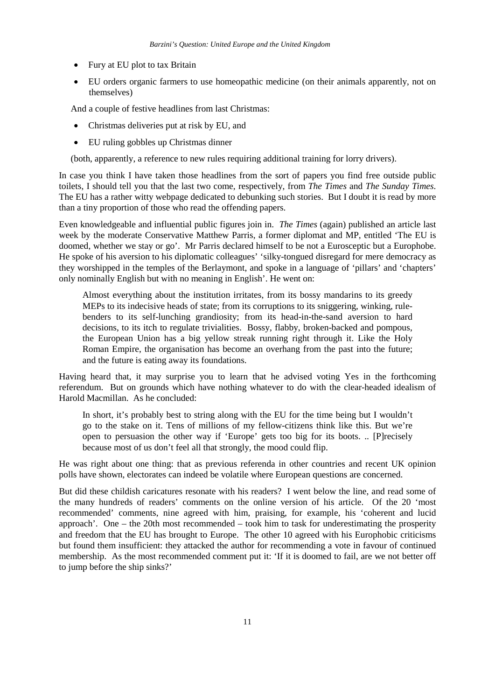- Fury at EU plot to tax Britain
- EU orders organic farmers to use homeopathic medicine (on their animals apparently, not on themselves)

And a couple of festive headlines from last Christmas:

- Christmas deliveries put at risk by EU, and
- EU ruling gobbles up Christmas dinner

(both, apparently, a reference to new rules requiring additional training for lorry drivers).

In case you think I have taken those headlines from the sort of papers you find free outside public toilets, I should tell you that the last two come, respectively, from *The Times* and *The Sunday Times*. The EU has a rather witty webpage dedicated to debunking such stories. But I doubt it is read by more than a tiny proportion of those who read the offending papers.

Even knowledgeable and influential public figures join in. *The Times* (again) published an article last week by the moderate Conservative Matthew Parris, a former diplomat and MP, entitled 'The EU is doomed, whether we stay or go'. Mr Parris declared himself to be not a Eurosceptic but a Europhobe. He spoke of his aversion to his diplomatic colleagues' 'silky-tongued disregard for mere democracy as they worshipped in the temples of the Berlaymont, and spoke in a language of 'pillars' and 'chapters' only nominally English but with no meaning in English'. He went on:

Almost everything about the institution irritates, from its bossy mandarins to its greedy MEPs to its indecisive heads of state; from its corruptions to its sniggering, winking, rulebenders to its self-lunching grandiosity; from its head-in-the-sand aversion to hard decisions, to its itch to regulate trivialities. Bossy, flabby, broken-backed and pompous, the European Union has a big yellow streak running right through it. Like the Holy Roman Empire, the organisation has become an overhang from the past into the future; and the future is eating away its foundations.

Having heard that, it may surprise you to learn that he advised voting Yes in the forthcoming referendum. But on grounds which have nothing whatever to do with the clear-headed idealism of Harold Macmillan. As he concluded:

In short, it's probably best to string along with the EU for the time being but I wouldn't go to the stake on it. Tens of millions of my fellow-citizens think like this. But we're open to persuasion the other way if 'Europe' gets too big for its boots. .. [P]recisely because most of us don't feel all that strongly, the mood could flip.

He was right about one thing: that as previous referenda in other countries and recent UK opinion polls have shown, electorates can indeed be volatile where European questions are concerned.

But did these childish caricatures resonate with his readers? I went below the line, and read some of the many hundreds of readers' comments on the online version of his article. Of the 20 'most recommended' comments, nine agreed with him, praising, for example, his 'coherent and lucid approach'. One – the 20th most recommended – took him to task for underestimating the prosperity and freedom that the EU has brought to Europe. The other 10 agreed with his Europhobic criticisms but found them insufficient: they attacked the author for recommending a vote in favour of continued membership. As the most recommended comment put it: 'If it is doomed to fail, are we not better off to jump before the ship sinks?'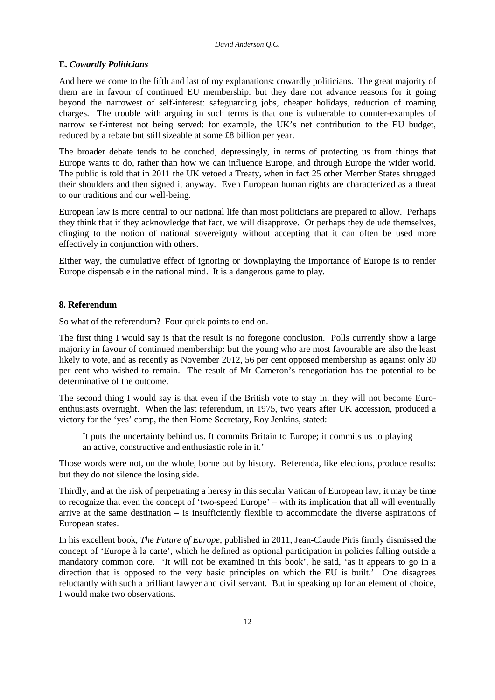## **E.** *Cowardly Politicians*

And here we come to the fifth and last of my explanations: cowardly politicians. The great majority of them are in favour of continued EU membership: but they dare not advance reasons for it going beyond the narrowest of self-interest: safeguarding jobs, cheaper holidays, reduction of roaming charges. The trouble with arguing in such terms is that one is vulnerable to counter-examples of narrow self-interest not being served: for example, the UK's net contribution to the EU budget, reduced by a rebate but still sizeable at some £8 billion per year.

The broader debate tends to be couched, depressingly, in terms of protecting us from things that Europe wants to do, rather than how we can influence Europe, and through Europe the wider world. The public is told that in 2011 the UK vetoed a Treaty, when in fact 25 other Member States shrugged their shoulders and then signed it anyway. Even European human rights are characterized as a threat to our traditions and our well-being.

European law is more central to our national life than most politicians are prepared to allow. Perhaps they think that if they acknowledge that fact, we will disapprove. Or perhaps they delude themselves, clinging to the notion of national sovereignty without accepting that it can often be used more effectively in conjunction with others.

Either way, the cumulative effect of ignoring or downplaying the importance of Europe is to render Europe dispensable in the national mind. It is a dangerous game to play.

# **8. Referendum**

So what of the referendum? Four quick points to end on.

The first thing I would say is that the result is no foregone conclusion. Polls currently show a large majority in favour of continued membership: but the young who are most favourable are also the least likely to vote, and as recently as November 2012, 56 per cent opposed membership as against only 30 per cent who wished to remain. The result of Mr Cameron's renegotiation has the potential to be determinative of the outcome.

The second thing I would say is that even if the British vote to stay in, they will not become Euroenthusiasts overnight. When the last referendum, in 1975, two years after UK accession, produced a victory for the 'yes' camp, the then Home Secretary, Roy Jenkins, stated:

It puts the uncertainty behind us. It commits Britain to Europe; it commits us to playing an active, constructive and enthusiastic role in it.'

Those words were not, on the whole, borne out by history. Referenda, like elections, produce results: but they do not silence the losing side.

Thirdly, and at the risk of perpetrating a heresy in this secular Vatican of European law, it may be time to recognize that even the concept of 'two-speed Europe' – with its implication that all will eventually arrive at the same destination – is insufficiently flexible to accommodate the diverse aspirations of European states.

In his excellent book, *The Future of Europe*, published in 2011, Jean-Claude Piris firmly dismissed the concept of 'Europe à la carte', which he defined as optional participation in policies falling outside a mandatory common core. 'It will not be examined in this book', he said, 'as it appears to go in a direction that is opposed to the very basic principles on which the EU is built.' One disagrees reluctantly with such a brilliant lawyer and civil servant. But in speaking up for an element of choice, I would make two observations.